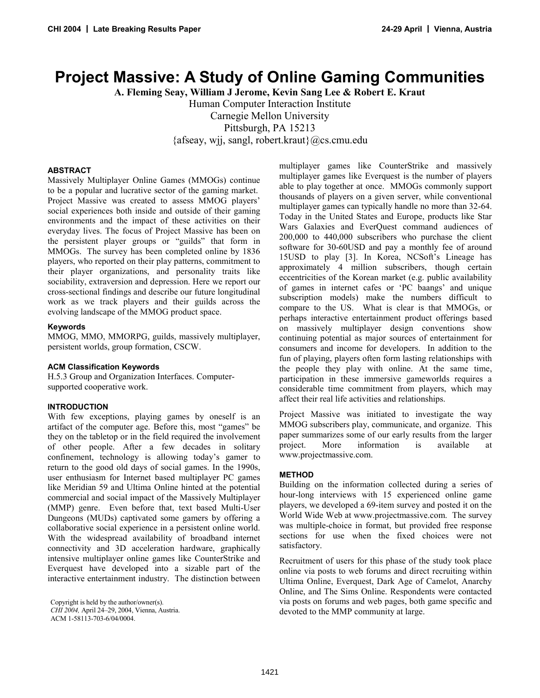# **Project Massive: A Study of Online Gaming Communities**

**A. Fleming Seay, William J Jerome, Kevin Sang Lee & Robert E. Kraut** 

Human Computer Interaction Institute

Carnegie Mellon University

Pittsburgh, PA 15213

{afseay, wjj, sangl, robert.kraut}@cs.cmu.edu

#### **ABSTRACT**

Massively Multiplayer Online Games (MMOGs) continue to be a popular and lucrative sector of the gaming market. Project Massive was created to assess MMOG players' social experiences both inside and outside of their gaming environments and the impact of these activities on their everyday lives. The focus of Project Massive has been on the persistent player groups or "guilds" that form in MMOGs. The survey has been completed online by 1836 players, who reported on their play patterns, commitment to their player organizations, and personality traits like sociability, extraversion and depression. Here we report our cross-sectional findings and describe our future longitudinal work as we track players and their guilds across the evolving landscape of the MMOG product space.

#### **Keywords**

MMOG, MMO, MMORPG, guilds, massively multiplayer, persistent worlds, group formation, CSCW.

# **ACM Classification Keywords**

H.5.3 Group and Organization Interfaces. Computersupported cooperative work.

# **INTRODUCTION**

With few exceptions, playing games by oneself is an artifact of the computer age. Before this, most "games" be they on the tabletop or in the field required the involvement of other people. After a few decades in solitary confinement, technology is allowing today's gamer to return to the good old days of social games. In the 1990s, user enthusiasm for Internet based multiplayer PC games like Meridian 59 and Ultima Online hinted at the potential commercial and social impact of the Massively Multiplayer (MMP) genre. Even before that, text based Multi-User Dungeons (MUDs) captivated some gamers by offering a collaborative social experience in a persistent online world. With the widespread availability of broadband internet connectivity and 3D acceleration hardware, graphically intensive multiplayer online games like CounterStrike and Everquest have developed into a sizable part of the interactive entertainment industry. The distinction between

multiplayer games like CounterStrike and massively multiplayer games like Everquest is the number of players able to play together at once. MMOGs commonly support thousands of players on a given server, while conventional multiplayer games can typically handle no more than 32-64. Today in the United States and Europe, products like Star Wars Galaxies and EverQuest command audiences of 200,000 to 440,000 subscribers who purchase the client software for 30-60USD and pay a monthly fee of around 15USD to play [3]. In Korea, NCSoft's Lineage has approximately 4 million subscribers, though certain eccentricities of the Korean market (e.g. public availability of games in internet cafes or 'PC baangs' and unique subscription models) make the numbers difficult to compare to the US. What is clear is that MMOGs, or perhaps interactive entertainment product offerings based on massively multiplayer design conventions show continuing potential as major sources of entertainment for consumers and income for developers. In addition to the fun of playing, players often form lasting relationships with the people they play with online. At the same time, participation in these immersive gameworlds requires a considerable time commitment from players, which may affect their real life activities and relationships.

Project Massive was initiated to investigate the way MMOG subscribers play, communicate, and organize. This paper summarizes some of our early results from the larger project. More information is available at www.projectmassive.com.

# **METHOD**

Building on the information collected during a series of hour-long interviews with 15 experienced online game players, we developed a 69-item survey and posted it on the World Wide Web at www.projectmassive.com. The survey was multiple-choice in format, but provided free response sections for use when the fixed choices were not satisfactory.

Recruitment of users for this phase of the study took place online via posts to web forums and direct recruiting within Ultima Online, Everquest, Dark Age of Camelot, Anarchy Online, and The Sims Online. Respondents were contacted via posts on forums and web pages, both game specific and devoted to the MMP community at large.

Copyright is held by the author/owner(s). *CHI 2004,* April 24–29, 2004, Vienna, Austria. ACM 1-58113-703-6/04/0004.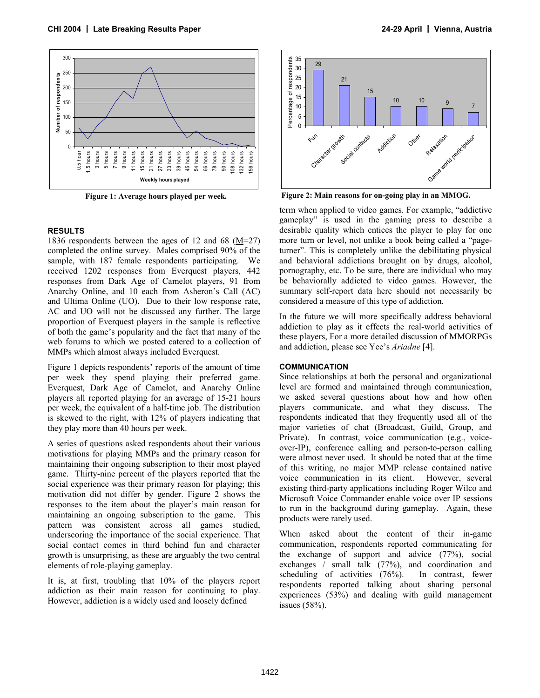

 **Figure 1: Average hours played per week.** 

#### **RESULTS**

1836 respondents between the ages of 12 and 68 ( $M=27$ ) completed the online survey. Males comprised 90% of the sample, with 187 female respondents participating. We received 1202 responses from Everquest players, 442 responses from Dark Age of Camelot players, 91 from Anarchy Online, and 10 each from Asheron's Call (AC) and Ultima Online (UO). Due to their low response rate, AC and UO will not be discussed any further. The large proportion of Everquest players in the sample is reflective of both the game's popularity and the fact that many of the web forums to which we posted catered to a collection of MMPs which almost always included Everquest.

Figure 1 depicts respondents' reports of the amount of time per week they spend playing their preferred game. Everquest, Dark Age of Camelot, and Anarchy Online players all reported playing for an average of 15-21 hours per week, the equivalent of a half-time job. The distribution is skewed to the right, with 12% of players indicating that they play more than 40 hours per week.

A series of questions asked respondents about their various motivations for playing MMPs and the primary reason for maintaining their ongoing subscription to their most played game. Thirty-nine percent of the players reported that the social experience was their primary reason for playing; this motivation did not differ by gender. Figure 2 shows the responses to the item about the player's main reason for maintaining an ongoing subscription to the game. This pattern was consistent across all games studied, underscoring the importance of the social experience. That social contact comes in third behind fun and character growth is unsurprising, as these are arguably the two central elements of role-playing gameplay.

It is, at first, troubling that 10% of the players report addiction as their main reason for continuing to play. However, addiction is a widely used and loosely defined



 **Figure 2: Main reasons for on-going play in an MMOG.** 

term when applied to video games. For example, "addictive gameplay" is used in the gaming press to describe a desirable quality which entices the player to play for one more turn or level, not unlike a book being called a "pageturner". This is completely unlike the debilitating physical and behavioral addictions brought on by drugs, alcohol, pornography, etc. To be sure, there are individual who may be behaviorally addicted to video games. However, the summary self-report data here should not necessarily be considered a measure of this type of addiction.

In the future we will more specifically address behavioral addiction to play as it effects the real-world activities of these players, For a more detailed discussion of MMORPGs and addiction, please see Yee's *Ariadne* [4].

#### **COMMUNICATION**

Since relationships at both the personal and organizational level are formed and maintained through communication, we asked several questions about how and how often players communicate, and what they discuss. The respondents indicated that they frequently used all of the major varieties of chat (Broadcast, Guild, Group, and Private). In contrast, voice communication (e.g., voiceover-IP), conference calling and person-to-person calling were almost never used. It should be noted that at the time of this writing, no major MMP release contained native voice communication in its client. However, several existing third-party applications including Roger Wilco and Microsoft Voice Commander enable voice over IP sessions to run in the background during gameplay. Again, these products were rarely used.

When asked about the content of their in-game communication, respondents reported communicating for the exchange of support and advice (77%), social exchanges / small talk (77%), and coordination and scheduling of activities (76%). In contrast, fewer respondents reported talking about sharing personal experiences (53%) and dealing with guild management issues (58%).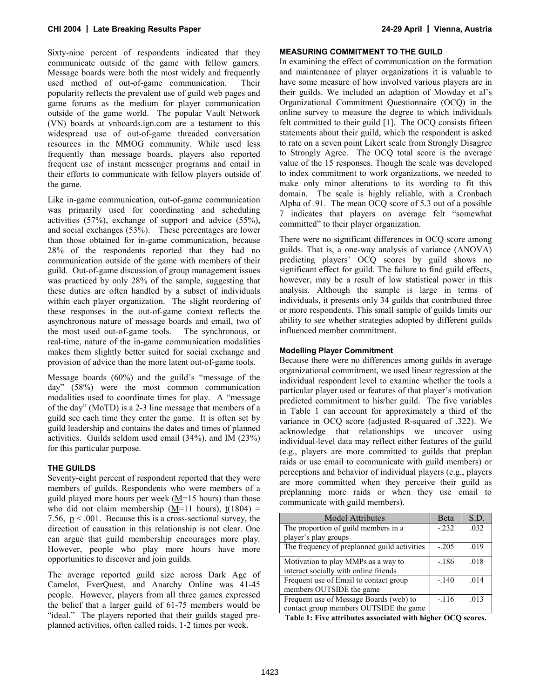Sixty-nine percent of respondents indicated that they communicate outside of the game with fellow gamers. Message boards were both the most widely and frequently used method of out-of-game communication. Their popularity reflects the prevalent use of guild web pages and game forums as the medium for player communication outside of the game world. The popular Vault Network (VN) boards at vnboards.ign.com are a testament to this widespread use of out-of-game threaded conversation resources in the MMOG community. While used less frequently than message boards, players also reported frequent use of instant messenger programs and email in their efforts to communicate with fellow players outside of the game.

Like in-game communication, out-of-game communication was primarily used for coordinating and scheduling activities (57%), exchange of support and advice (55%), and social exchanges (53%). These percentages are lower than those obtained for in-game communication, because 28% of the respondents reported that they had no communication outside of the game with members of their guild. Out-of-game discussion of group management issues was practiced by only 28% of the sample, suggesting that these duties are often handled by a subset of individuals within each player organization. The slight reordering of these responses in the out-of-game context reflects the asynchronous nature of message boards and email, two of the most used out-of-game tools. The synchronous, or real-time, nature of the in-game communication modalities makes them slightly better suited for social exchange and provision of advice than the more latent out-of-game tools.

Message boards (60%) and the guild's "message of the day" (58%) were the most common communication modalities used to coordinate times for play. A "message of the day" (MoTD) is a 2-3 line message that members of a guild see each time they enter the game. It is often set by guild leadership and contains the dates and times of planned activities. Guilds seldom used email (34%), and IM (23%) for this particular purpose.

# **THE GUILDS**

Seventy-eight percent of respondent reported that they were members of guilds. Respondents who were members of a guild played more hours per week  $(M=15$  hours) than those who did not claim membership ( $M=11$  hours),  $t(1804)$  = 7.56,  $p < .001$ . Because this is a cross-sectional survey, the direction of causation in this relationship is not clear. One can argue that guild membership encourages more play. However, people who play more hours have more opportunities to discover and join guilds.

The average reported guild size across Dark Age of Camelot, EverQuest, and Anarchy Online was 41-45 people. However, players from all three games expressed the belief that a larger guild of 61-75 members would be "ideal." The players reported that their guilds staged preplanned activities, often called raids, 1-2 times per week.

#### **MEASURING COMMITMENT TO THE GUILD**

In examining the effect of communication on the formation and maintenance of player organizations it is valuable to have some measure of how involved various players are in their guilds. We included an adaption of Mowday et al's Organizational Commitment Questionnaire (OCQ) in the online survey to measure the degree to which individuals felt committed to their guild [1]. The OCQ consists fifteen statements about their guild, which the respondent is asked to rate on a seven point Likert scale from Strongly Disagree to Strongly Agree. The OCQ total score is the average value of the 15 responses. Though the scale was developed to index commitment to work organizations, we needed to make only minor alterations to its wording to fit this domain. The scale is highly reliable, with a Cronbach Alpha of .91. The mean OCQ score of 5.3 out of a possible 7 indicates that players on average felt "somewhat committed" to their player organization.

There were no significant differences in OCQ score among guilds. That is, a one-way analysis of variance (ANOVA) predicting players' OCQ scores by guild shows no significant effect for guild. The failure to find guild effects, however, may be a result of low statistical power in this analysis. Although the sample is large in terms of individuals, it presents only 34 guilds that contributed three or more respondents. This small sample of guilds limits our ability to see whether strategies adopted by different guilds influenced member commitment.

# **Modelling Player Commitment**

Because there were no differences among guilds in average organizational commitment, we used linear regression at the individual respondent level to examine whether the tools a particular player used or features of that player's motivation predicted commitment to his/her guild. The five variables in Table 1 can account for approximately a third of the variance in OCQ score (adjusted R-squared of .322). We acknowledge that relationships we uncover using individual-level data may reflect either features of the guild (e.g., players are more committed to guilds that preplan raids or use email to communicate with guild members) or perceptions and behavior of individual players (e.g., players are more committed when they perceive their guild as preplanning more raids or when they use email to communicate with guild members).

| <b>Model Attributes</b>                      | Beta    | S.D. |
|----------------------------------------------|---------|------|
| The proportion of guild members in a         | $-.232$ | .032 |
| player's play groups                         |         |      |
| The frequency of preplanned guild activities | $-.205$ | .019 |
| Motivation to play MMPs as a way to          | $-186$  | .018 |
| interact socially with online friends        |         |      |
| Frequent use of Email to contact group       | $-.140$ | .014 |
| members OUTSIDE the game                     |         |      |
| Frequent use of Message Boards (web) to      | $-.116$ | .013 |
| contact group members OUTSIDE the game       |         |      |

**Table 1: Five attributes associated with higher OCQ scores.**